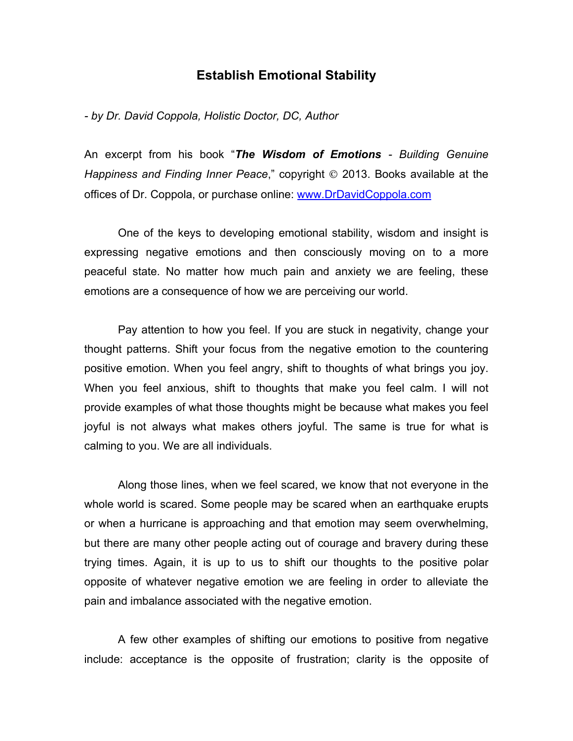## **Establish Emotional Stability**

*- by Dr. David Coppola, Holistic Doctor, DC, Author*

An excerpt from his book "*The Wisdom of Emotions - Building Genuine Happiness and Finding Inner Peace,*" copyright  $\odot$  2013. Books available at the offices of Dr. Coppola, or purchase online: www.DrDavidCoppola.com

One of the keys to developing emotional stability, wisdom and insight is expressing negative emotions and then consciously moving on to a more peaceful state. No matter how much pain and anxiety we are feeling, these emotions are a consequence of how we are perceiving our world.

Pay attention to how you feel. If you are stuck in negativity, change your thought patterns. Shift your focus from the negative emotion to the countering positive emotion. When you feel angry, shift to thoughts of what brings you joy. When you feel anxious, shift to thoughts that make you feel calm. I will not provide examples of what those thoughts might be because what makes you feel joyful is not always what makes others joyful. The same is true for what is calming to you. We are all individuals.

Along those lines, when we feel scared, we know that not everyone in the whole world is scared. Some people may be scared when an earthquake erupts or when a hurricane is approaching and that emotion may seem overwhelming, but there are many other people acting out of courage and bravery during these trying times. Again, it is up to us to shift our thoughts to the positive polar opposite of whatever negative emotion we are feeling in order to alleviate the pain and imbalance associated with the negative emotion.

A few other examples of shifting our emotions to positive from negative include: acceptance is the opposite of frustration; clarity is the opposite of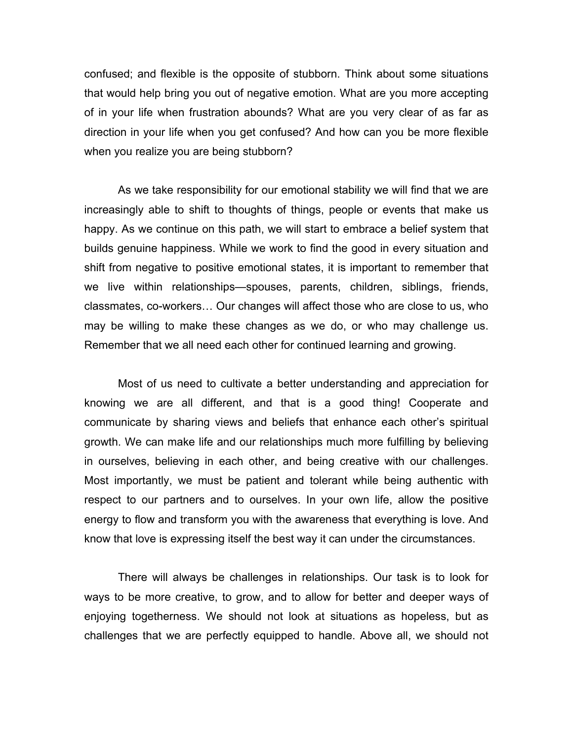confused; and flexible is the opposite of stubborn. Think about some situations that would help bring you out of negative emotion. What are you more accepting of in your life when frustration abounds? What are you very clear of as far as direction in your life when you get confused? And how can you be more flexible when you realize you are being stubborn?

As we take responsibility for our emotional stability we will find that we are increasingly able to shift to thoughts of things, people or events that make us happy. As we continue on this path, we will start to embrace a belief system that builds genuine happiness. While we work to find the good in every situation and shift from negative to positive emotional states, it is important to remember that we live within relationships—spouses, parents, children, siblings, friends, classmates, co-workers… Our changes will affect those who are close to us, who may be willing to make these changes as we do, or who may challenge us. Remember that we all need each other for continued learning and growing.

Most of us need to cultivate a better understanding and appreciation for knowing we are all different, and that is a good thing! Cooperate and communicate by sharing views and beliefs that enhance each other's spiritual growth. We can make life and our relationships much more fulfilling by believing in ourselves, believing in each other, and being creative with our challenges. Most importantly, we must be patient and tolerant while being authentic with respect to our partners and to ourselves. In your own life, allow the positive energy to flow and transform you with the awareness that everything is love. And know that love is expressing itself the best way it can under the circumstances.

There will always be challenges in relationships. Our task is to look for ways to be more creative, to grow, and to allow for better and deeper ways of enjoying togetherness. We should not look at situations as hopeless, but as challenges that we are perfectly equipped to handle. Above all, we should not